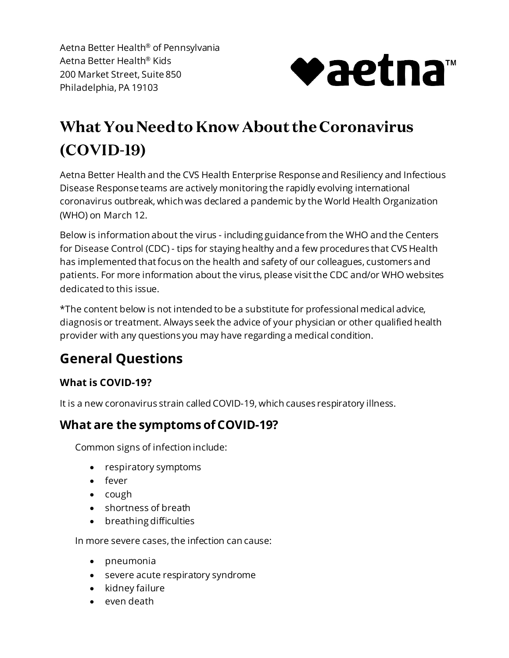Aetna Better Health® of Pennsylvania Aetna Better Health® Kids 200 Market Street, Suite 850 Philadelphia, PA 19103



# **What You Need to Know About the Coronavirus (COVID-19)**

 Aetna Better Health and the CVS Health Enterprise Response and Resiliency and Infectious Disease Response teams are actively monitoring the rapidly evolving international coronavirus outbreak, which was declared a pandemic by the World Health Organization (WHO) on March 12.

 Below is information about the virus - including guidance from the WHO and the Centers for Disease Control (CDC) - tips for staying healthy and a few procedures that CVS Health has implemented that focus on the health and safety of our colleagues, customers and patients. For more information about the virus, please visit the CDC and/or WHO websites dedicated to this issue.

 \*The content below is not intended to be a substitute for professional medical advice, diagnosis or treatment. Always seek the advice of your physician or other qualified health provider with any questions you may have regarding a medical condition.

# **General Questions**

#### **What is COVID-19?**

It is a new coronavirus strain called COVID-19, which causes respiratory illness.

### **What are the symptoms of COVID-19?**

Common signs of infection include:

- respiratory symptoms
- fever
- cough
- shortness of breath
- breathing difficulties

In more severe cases, the infection can cause:

- pneumonia
- severe acute respiratory syndrome
- kidney failure
- even death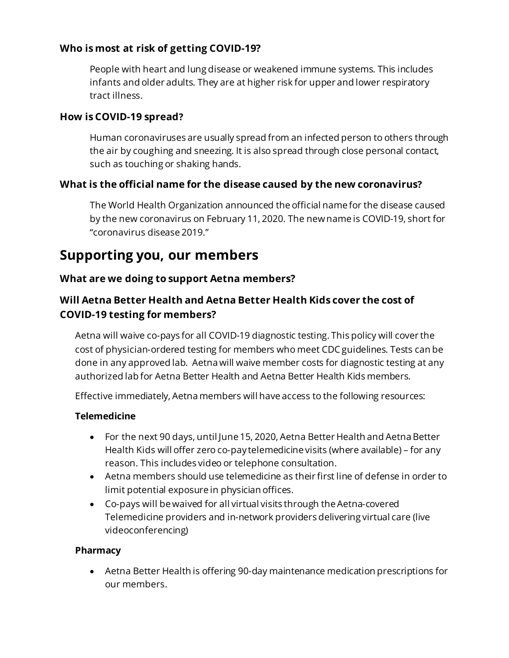#### **Who is most at risk of getting COVID-19?**

 People with heart and lung disease or weakened immune systems. This includes infants and older adults. They are at higher risk for upper and lower respiratory tract illness.

#### **How is COVID-19 spread?**

 Human coronaviruses are usually spread from an infected person to others through the air by coughing and sneezing. It is also spread through close personal contact, such as touching or shaking hands.

#### **What is the official name for the disease caused by the new coronavirus?**

 The World Health Organization announced the official name for the disease caused by the new coronavirus on February 11, 2020. The new name is COVID-19, short for "coronavirus disease 2019."

# **Supporting you, our members**

#### **What are we doing to support Aetna members?**

#### **Will Aetna Better Health and Aetna Better Health Kids cover the cost of COVID-19 testing for members?**

 Aetna will waive co-pays for all COVID-19 diagnostic testing. This policy will cover the cost of physician-ordered testing for members who meet CDC guidelines. Tests can be done in any approved lab. Aetna will waive member costs for diagnostic testing at any authorized lab for Aetna Better Health and Aetna Better Health Kids members.

Effective immediately, Aetna members will have access to the following resources:

#### **Telemedicine**

- • For the next 90 days, until June 15, 2020, Aetna Better Health and Aetna Better Health Kids will offer zero co-pay telemedicine visits (where available) – for any reason. This includes video or telephone consultation.
- • Aetna members should use telemedicine as their first line of defense in order to limit potential exposure in physician offices.
- • Co-pays will be waived for all virtual visits through the Aetna-covered Telemedicine providers and in-network providers delivering virtual care (live videoconferencing)

#### **Pharmacy**

 • Aetna Better Health is offering 90-day maintenance medication prescriptions for our members.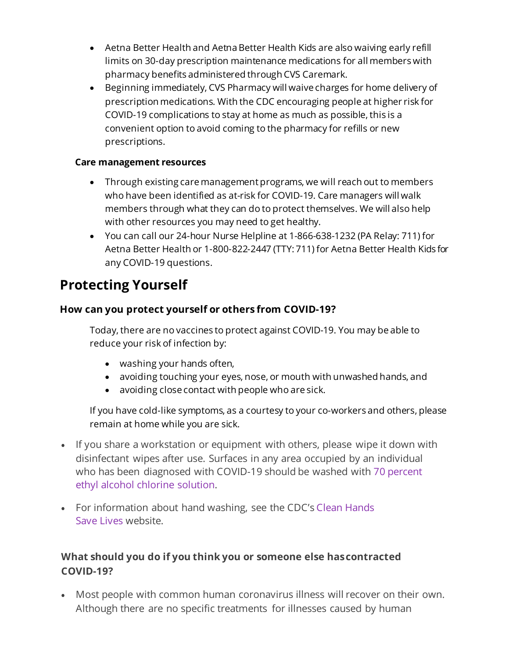- • Aetna Better Health and Aetna Better Health Kids are also waiving early refill limits on 30-day prescription maintenance medications for all members with pharmacy benefits administered through CVS Caremark.
- • Beginning immediately, CVS Pharmacy will waive charges for home delivery of prescription medications. With the CDC encouraging people at higher risk for COVID-19 complications to stay at home as much as possible, this is a convenient option to avoid coming to the pharmacy for refills or new prescriptions.

#### **Care management resources**

- • Through existing care management programs, we will reach out to members who have been identified as at-risk for COVID-19. Care managers will walk members through what they can do to protect themselves. We will also help with other resources you may need to get healthy.
- • You can call our 24-hour Nurse Helpline at 1-866-638-1232 (PA Relay: 711) for Aetna Better Health or 1-800-822-2447 (TTY: 711) for Aetna Better Health Kids for any COVID-19 questions.

# **Protecting Yourself**

#### **How can you protect yourself or others from COVID-19?**

 Today, there are no vaccines to protect against COVID-19. You may be able to reduce your risk of infection by:

- washing your hands often,
- avoiding touching your eyes, nose, or mouth with unwashed hands, and
- avoiding close contact with people who are sick.

 If you have cold-like symptoms, as a courtesy to your co-workers and others, please remain at home while you are sick.

- disinfectant wipes after use. Surfaces in any area occupied by an individual • If you share a workstation or equipment with others, please wipe it down with who has been diagnosed with COVID-19 should be washed with [70 percent](https://www.ncbi.nlm.nih.gov/books/NBK214356/)  [ethyl alcohol chlorine solution.](https://www.ncbi.nlm.nih.gov/books/NBK214356/)
- • For information about hand washing, see the CDC's [Clean Hands](https://www.cdc.gov/handwashing/)  [Save Lives w](https://www.cdc.gov/handwashing/)ebsite.

#### **What should you do if you think you or someone else hascontracted COVID-19?**

 • Most people with common human coronavirus illness will recover on their own. Although there are no specific treatments for illnesses caused by human